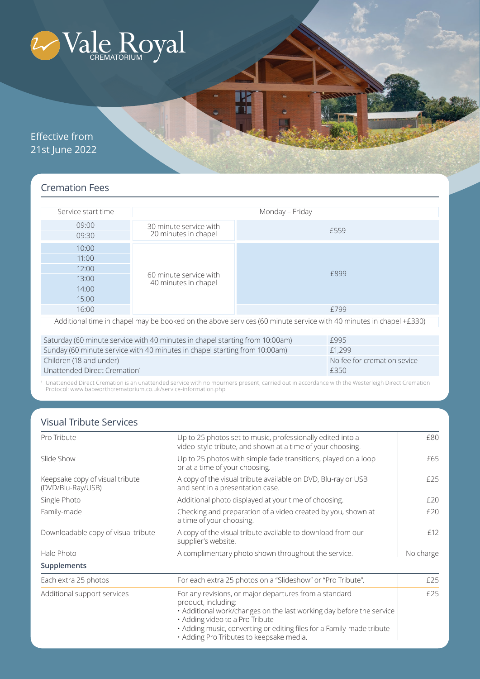

Effective from 21st June 2022

# Cremation Fees

| Service start time                                                                                                   | Monday - Friday                                |      |                             |  |  |
|----------------------------------------------------------------------------------------------------------------------|------------------------------------------------|------|-----------------------------|--|--|
| 09:00<br>09:30                                                                                                       | 30 minute service with<br>20 minutes in chapel |      | £559                        |  |  |
| 10:00                                                                                                                | 60 minute service with<br>40 minutes in chapel |      |                             |  |  |
| 11:00                                                                                                                |                                                | £899 |                             |  |  |
| 12:00                                                                                                                |                                                |      |                             |  |  |
| 13:00                                                                                                                |                                                |      |                             |  |  |
| 14:00                                                                                                                |                                                |      |                             |  |  |
| 15:00                                                                                                                |                                                |      |                             |  |  |
| 16:00                                                                                                                |                                                |      | £799                        |  |  |
| Additional time in chapel may be booked on the above services (60 minute service with 40 minutes in chapel $+£330$ ) |                                                |      |                             |  |  |
|                                                                                                                      |                                                |      |                             |  |  |
| Saturday (60 minute service with 40 minutes in chapel starting from 10:00am)                                         |                                                |      | £995                        |  |  |
| Sunday (60 minute service with 40 minutes in chapel starting from 10:00am)                                           |                                                |      | £1,299                      |  |  |
| Children (18 and under)                                                                                              |                                                |      | No fee for cremation sevice |  |  |
| Unattended Direct Cremation <sup>1</sup>                                                                             |                                                |      | £350                        |  |  |

<sup>1</sup> Unattended Direct Cremation is an unattended service with no mourners present, carried out in accordance with the Westerleigh Direct Cremation Protocol: www.babworthcrematorium.co.uk/service-information.php

# Visual Tribute Services

| Pro Tribute                                          | Up to 25 photos set to music, professionally edited into a<br>video-style tribute, and shown at a time of your choosing.                                                                                                                                                                                      | £80<br>£65<br>£25 |
|------------------------------------------------------|---------------------------------------------------------------------------------------------------------------------------------------------------------------------------------------------------------------------------------------------------------------------------------------------------------------|-------------------|
| Slide Show                                           | Up to 25 photos with simple fade transitions, played on a loop<br>or at a time of your choosing.                                                                                                                                                                                                              |                   |
| Keepsake copy of visual tribute<br>(DVD/Blu-Ray/USB) | A copy of the visual tribute available on DVD, Blu-ray or USB<br>and sent in a presentation case.                                                                                                                                                                                                             |                   |
| Single Photo                                         | Additional photo displayed at your time of choosing.                                                                                                                                                                                                                                                          | £20               |
| Family-made                                          | Checking and preparation of a video created by you, shown at<br>a time of your choosing.                                                                                                                                                                                                                      |                   |
| Downloadable copy of visual tribute                  | A copy of the visual tribute available to download from our<br>supplier's website.                                                                                                                                                                                                                            | £12               |
| Halo Photo                                           | A complimentary photo shown throughout the service.                                                                                                                                                                                                                                                           | No charge         |
| Supplements                                          |                                                                                                                                                                                                                                                                                                               |                   |
| Each extra 25 photos                                 | For each extra 25 photos on a "Slideshow" or "Pro Tribute".                                                                                                                                                                                                                                                   | £25               |
| Additional support services                          | For any revisions, or major departures from a standard<br>product, including:<br>• Additional work/changes on the last working day before the service<br>· Adding video to a Pro Tribute<br>• Adding music, converting or editing files for a Family-made tribute<br>· Adding Pro Tributes to keepsake media. | £25               |